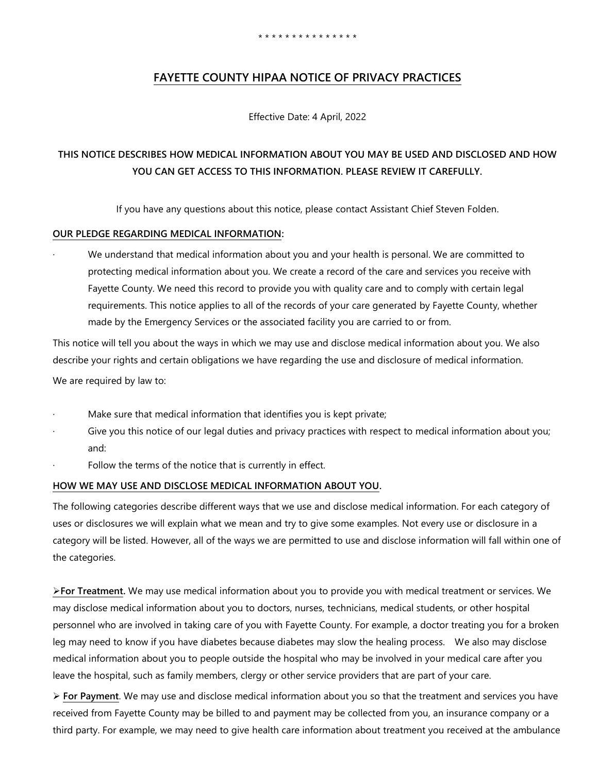# **FAYETTE COUNTY HIPAA NOTICE OF PRIVACY PRACTICES**

Effective Date: 4 April, 2022

# **THIS NOTICE DESCRIBES HOW MEDICAL INFORMATION ABOUT YOU MAY BE USED AND DISCLOSED AND HOW YOU CAN GET ACCESS TO THIS INFORMATION. PLEASE REVIEW IT CAREFULLY.**

If you have any questions about this notice, please contact Assistant Chief Steven Folden.

## **OUR PLEDGE REGARDING MEDICAL INFORMATION:**

We understand that medical information about you and your health is personal. We are committed to protecting medical information about you. We create a record of the care and services you receive with Fayette County. We need this record to provide you with quality care and to comply with certain legal requirements. This notice applies to all of the records of your care generated by Fayette County, whether made by the Emergency Services or the associated facility you are carried to or from.

This notice will tell you about the ways in which we may use and disclose medical information about you. We also describe your rights and certain obligations we have regarding the use and disclosure of medical information.

We are required by law to:

- Make sure that medical information that identifies you is kept private;
- Give you this notice of our legal duties and privacy practices with respect to medical information about you; and:
- Follow the terms of the notice that is currently in effect.

# **HOW WE MAY USE AND DISCLOSE MEDICAL INFORMATION ABOUT YOU.**

The following categories describe different ways that we use and disclose medical information. For each category of uses or disclosures we will explain what we mean and try to give some examples. Not every use or disclosure in a category will be listed. However, all of the ways we are permitted to use and disclose information will fall within one of the categories.

**For Treatment.** We may use medical information about you to provide you with medical treatment or services. We may disclose medical information about you to doctors, nurses, technicians, medical students, or other hospital personnel who are involved in taking care of you with Fayette County. For example, a doctor treating you for a broken leg may need to know if you have diabetes because diabetes may slow the healing process. We also may disclose medical information about you to people outside the hospital who may be involved in your medical care after you leave the hospital, such as family members, clergy or other service providers that are part of your care.

 **For Payment**. We may use and disclose medical information about you so that the treatment and services you have received from Fayette County may be billed to and payment may be collected from you, an insurance company or a third party. For example, we may need to give health care information about treatment you received at the ambulance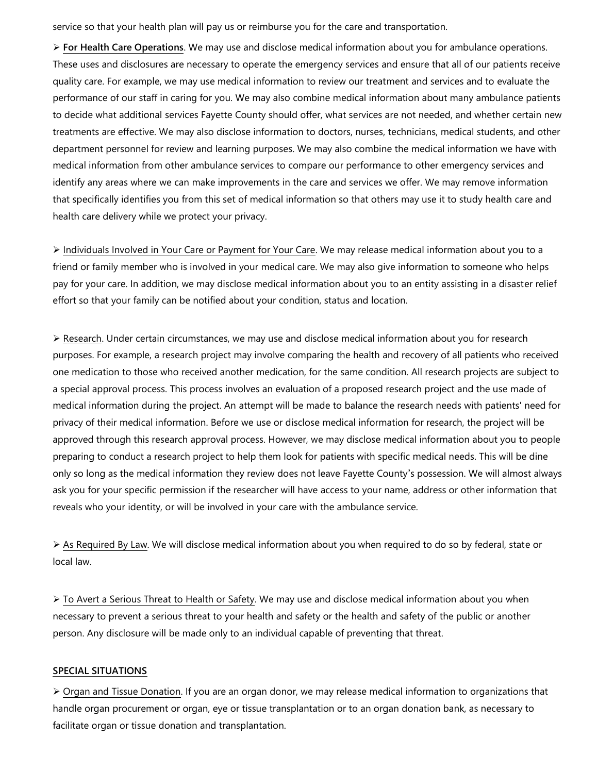service so that your health plan will pay us or reimburse you for the care and transportation.

 **For Health Care Operations**. We may use and disclose medical information about you for ambulance operations. These uses and disclosures are necessary to operate the emergency services and ensure that all of our patients receive quality care. For example, we may use medical information to review our treatment and services and to evaluate the performance of our staff in caring for you. We may also combine medical information about many ambulance patients to decide what additional services Fayette County should offer, what services are not needed, and whether certain new treatments are effective. We may also disclose information to doctors, nurses, technicians, medical students, and other department personnel for review and learning purposes. We may also combine the medical information we have with medical information from other ambulance services to compare our performance to other emergency services and identify any areas where we can make improvements in the care and services we offer. We may remove information that specifically identifies you from this set of medical information so that others may use it to study health care and health care delivery while we protect your privacy.

 Individuals Involved in Your Care or Payment for Your Care. We may release medical information about you to a friend or family member who is involved in your medical care. We may also give information to someone who helps pay for your care. In addition, we may disclose medical information about you to an entity assisting in a disaster relief effort so that your family can be notified about your condition, status and location.

 $\triangleright$  Research. Under certain circumstances, we may use and disclose medical information about you for research purposes. For example, a research project may involve comparing the health and recovery of all patients who received one medication to those who received another medication, for the same condition. All research projects are subject to a special approval process. This process involves an evaluation of a proposed research project and the use made of medical information during the project. An attempt will be made to balance the research needs with patients' need for privacy of their medical information. Before we use or disclose medical information for research, the project will be approved through this research approval process. However, we may disclose medical information about you to people preparing to conduct a research project to help them look for patients with specific medical needs. This will be dine only so long as the medical information they review does not leave Fayette County's possession. We will almost always ask you for your specific permission if the researcher will have access to your name, address or other information that reveals who your identity, or will be involved in your care with the ambulance service.

 As Required By Law. We will disclose medical information about you when required to do so by federal, state or local law.

▶ To Avert a Serious Threat to Health or Safety. We may use and disclose medical information about you when necessary to prevent a serious threat to your health and safety or the health and safety of the public or another person. Any disclosure will be made only to an individual capable of preventing that threat.

#### **SPECIAL SITUATIONS**

 $\triangleright$  Organ and Tissue Donation. If you are an organ donor, we may release medical information to organizations that handle organ procurement or organ, eye or tissue transplantation or to an organ donation bank, as necessary to facilitate organ or tissue donation and transplantation.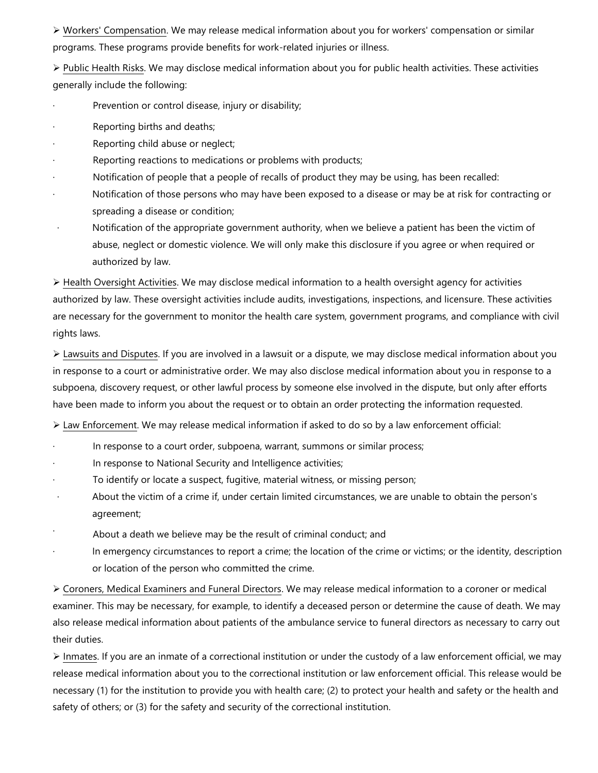Workers' Compensation. We may release medical information about you for workers' compensation or similar programs. These programs provide benefits for work-related injuries or illness.

 $\triangleright$  Public Health Risks. We may disclose medical information about you for public health activities. These activities generally include the following:

- Prevention or control disease, injury or disability;
- Reporting births and deaths;
- Reporting child abuse or neglect;
- Reporting reactions to medications or problems with products;
- · Notification of people that a people of recalls of product they may be using, has been recalled:
- Notification of those persons who may have been exposed to a disease or may be at risk for contracting or spreading a disease or condition;
- Notification of the appropriate government authority, when we believe a patient has been the victim of abuse, neglect or domestic violence. We will only make this disclosure if you agree or when required or authorized by law.

 $\triangleright$  Health Oversight Activities. We may disclose medical information to a health oversight agency for activities authorized by law. These oversight activities include audits, investigations, inspections, and licensure. These activities are necessary for the government to monitor the health care system, government programs, and compliance with civil rights laws.

 Lawsuits and Disputes. If you are involved in a lawsuit or a dispute, we may disclose medical information about you in response to a court or administrative order. We may also disclose medical information about you in response to a subpoena, discovery request, or other lawful process by someone else involved in the dispute, but only after efforts have been made to inform you about the request or to obtain an order protecting the information requested.

 $\triangleright$  Law Enforcement. We may release medical information if asked to do so by a law enforcement official:

- In response to a court order, subpoena, warrant, summons or similar process;
- In response to National Security and Intelligence activities;
- To identify or locate a suspect, fugitive, material witness, or missing person;
- About the victim of a crime if, under certain limited circumstances, we are unable to obtain the person's agreement;
- About a death we believe may be the result of criminal conduct; and
- In emergency circumstances to report a crime; the location of the crime or victims; or the identity, description or location of the person who committed the crime.

 Coroners, Medical Examiners and Funeral Directors. We may release medical information to a coroner or medical examiner. This may be necessary, for example, to identify a deceased person or determine the cause of death. We may also release medical information about patients of the ambulance service to funeral directors as necessary to carry out their duties.

 $\triangleright$  Inmates. If you are an inmate of a correctional institution or under the custody of a law enforcement official, we may release medical information about you to the correctional institution or law enforcement official. This release would be necessary (1) for the institution to provide you with health care; (2) to protect your health and safety or the health and safety of others; or (3) for the safety and security of the correctional institution.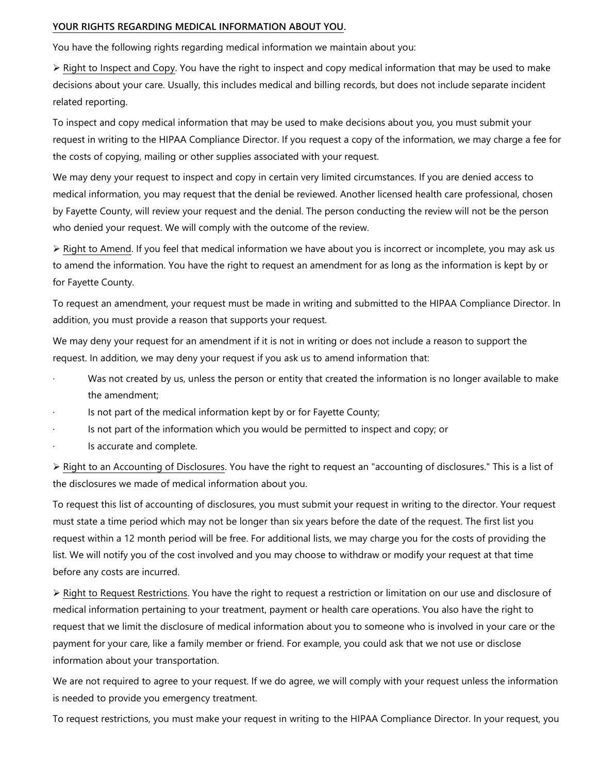### **YOUR RIGHTS REGARDING MEDICAL INFORMATION ABOUT YOU.**

You have the following rights regarding medical information we maintain about you:

 $\triangleright$  Right to Inspect and Copy. You have the right to inspect and copy medical information that may be used to make decisions about your care. Usually, this includes medical and billing records, but does not include separate incident related reporting.

To inspect and copy medical information that may be used to make decisions about you, you must submit your request in writing to the HIPAA Compliance Director. If you request a copy of the information, we may charge a fee for the costs of copying, mailing or other supplies associated with your request.

We may deny your request to inspect and copy in certain very limited circumstances. If you are denied access to medical information, you may request that the denial be reviewed. Another licensed health care professional, chosen by Fayette County, will review your request and the denial. The person conducting the review will not be the person who denied your request. We will comply with the outcome of the review.

 $\triangleright$  Right to Amend. If you feel that medical information we have about you is incorrect or incomplete, you may ask us to amend the information. You have the right to request an amendment for as long as the information is kept by or for Fayette County.

To request an amendment, your request must be made in writing and submitted to the HIPAA Compliance Director. In addition, you must provide a reason that supports your request.

We may deny your request for an amendment if it is not in writing or does not include a reason to support the request. In addition, we may deny your request if you ask us to amend information that:

- Was not created by us, unless the person or entity that created the information is no longer available to make the amendment;
- Is not part of the medical information kept by or for Fayette County;
- Is not part of the information which you would be permitted to inspect and copy; or
- Is accurate and complete.

 $\triangleright$  Right to an Accounting of Disclosures. You have the right to request an "accounting of disclosures." This is a list of the disclosures we made of medical information about you.

To request this list of accounting of disclosures, you must submit your request in writing to the director. Your request must state a time period which may not be longer than six years before the date of the request. The first list you request within a 12 month period will be free. For additional lists, we may charge you for the costs of providing the list. We will notify you of the cost involved and you may choose to withdraw or modify your request at that time before any costs are incurred.

▶ Right to Request Restrictions. You have the right to request a restriction or limitation on our use and disclosure of medical information pertaining to your treatment, payment or health care operations. You also have the right to request that we limit the disclosure of medical information about you to someone who is involved in your care or the payment for your care, like a family member or friend. For example, you could ask that we not use or disclose information about your transportation.

We are not required to agree to your request. If we do agree, we will comply with your request unless the information is needed to provide you emergency treatment.

To request restrictions, you must make your request in writing to the HIPAA Compliance Director. In your request, you